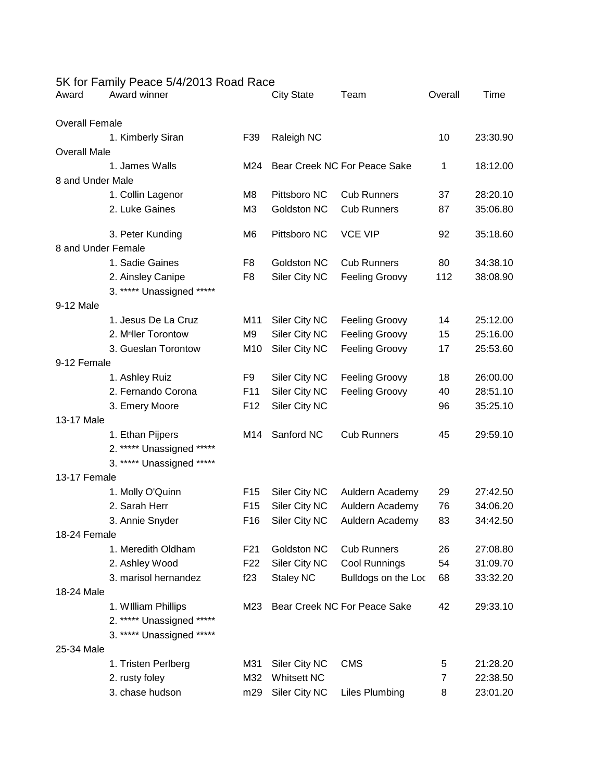| Award                 | 5K for Family Peace 5/4/2013 Road Race<br>Award winner |                 | <b>City State</b>            | Team                         | Overall | Time     |
|-----------------------|--------------------------------------------------------|-----------------|------------------------------|------------------------------|---------|----------|
| <b>Overall Female</b> |                                                        |                 |                              |                              |         |          |
|                       | 1. Kimberly Siran                                      | F39             | Raleigh NC                   |                              | 10      | 23:30.90 |
| <b>Overall Male</b>   |                                                        |                 |                              |                              |         |          |
|                       | 1. James Walls                                         | M24             |                              | Bear Creek NC For Peace Sake | 1       | 18:12.00 |
| 8 and Under Male      |                                                        |                 |                              |                              |         |          |
|                       | 1. Collin Lagenor                                      | M <sub>8</sub>  | Pittsboro NC                 | <b>Cub Runners</b>           | 37      | 28:20.10 |
|                       | 2. Luke Gaines                                         | M <sub>3</sub>  | Goldston NC                  | <b>Cub Runners</b>           | 87      | 35:06.80 |
|                       | 3. Peter Kunding                                       | M6              | Pittsboro NC                 | <b>VCE VIP</b>               | 92      | 35:18.60 |
| 8 and Under Female    |                                                        |                 |                              |                              |         |          |
|                       | 1. Sadie Gaines                                        | F8              | Goldston NC                  | <b>Cub Runners</b>           | 80      | 34:38.10 |
|                       | 2. Ainsley Canipe                                      | F <sub>8</sub>  | Siler City NC                | Feeling Groovy               | 112     | 38:08.90 |
|                       | 3. ***** Unassigned *****                              |                 |                              |                              |         |          |
| 9-12 Male             |                                                        |                 |                              |                              |         |          |
|                       | 1. Jesus De La Cruz                                    | M11             | Siler City NC                | <b>Feeling Groovy</b>        | 14      | 25:12.00 |
|                       | 2. M <sup>n</sup> ller Torontow                        | M <sub>9</sub>  | Siler City NC                | <b>Feeling Groovy</b>        | 15      | 25:16.00 |
|                       | 3. Gueslan Torontow                                    | M10             | Siler City NC                | <b>Feeling Groovy</b>        | 17      | 25:53.60 |
| 9-12 Female           |                                                        |                 |                              |                              |         |          |
|                       | 1. Ashley Ruiz                                         | F9              | Siler City NC                | <b>Feeling Groovy</b>        | 18      | 26:00.00 |
|                       | 2. Fernando Corona                                     | F11             | Siler City NC                | <b>Feeling Groovy</b>        | 40      | 28:51.10 |
|                       | 3. Emery Moore                                         | F <sub>12</sub> | Siler City NC                |                              | 96      | 35:25.10 |
| 13-17 Male            |                                                        |                 |                              |                              |         |          |
|                       | 1. Ethan Pijpers                                       | M14             | Sanford NC                   | <b>Cub Runners</b>           | 45      | 29:59.10 |
|                       | 2. ***** Unassigned *****                              |                 |                              |                              |         |          |
|                       | 3. ***** Unassigned<br>$****$                          |                 |                              |                              |         |          |
| 13-17 Female          |                                                        |                 |                              |                              |         |          |
|                       | 1. Molly O'Quinn                                       | F <sub>15</sub> | Siler City NC                | Auldern Academy              | 29      | 27:42.50 |
|                       | 2. Sarah Herr                                          | F <sub>15</sub> | Siler City NC                | Auldern Academy              | 76      | 34:06.20 |
|                       | 3. Annie Snyder                                        | F <sub>16</sub> | Siler City NC                | Auldern Academy              | 83      | 34:42.50 |
| 18-24 Female          |                                                        |                 |                              |                              |         |          |
|                       | 1. Meredith Oldham                                     | F <sub>21</sub> | Goldston NC                  | <b>Cub Runners</b>           | 26      | 27:08.80 |
|                       | 2. Ashley Wood                                         | F <sub>22</sub> | Siler City NC                | Cool Runnings                | 54      | 31:09.70 |
|                       | 3. marisol hernandez                                   | f23             | <b>Staley NC</b>             | Bulldogs on the Loc          | 68      | 33:32.20 |
| 18-24 Male            |                                                        |                 |                              |                              |         |          |
|                       | 1. William Phillips                                    | M23             | Bear Creek NC For Peace Sake |                              | 42      | 29:33.10 |
|                       | 2. ***** Unassigned *****                              |                 |                              |                              |         |          |
|                       | 3. ***** Unassigned *****                              |                 |                              |                              |         |          |
| 25-34 Male            |                                                        |                 |                              |                              |         |          |
|                       | 1. Tristen Perlberg                                    | M31             | Siler City NC                | <b>CMS</b>                   | 5       | 21:28.20 |
|                       | 2. rusty foley                                         | M32             | <b>Whitsett NC</b>           |                              | 7       | 22:38.50 |
|                       | 3. chase hudson                                        | m29             | Siler City NC                | <b>Liles Plumbing</b>        | 8       | 23:01.20 |